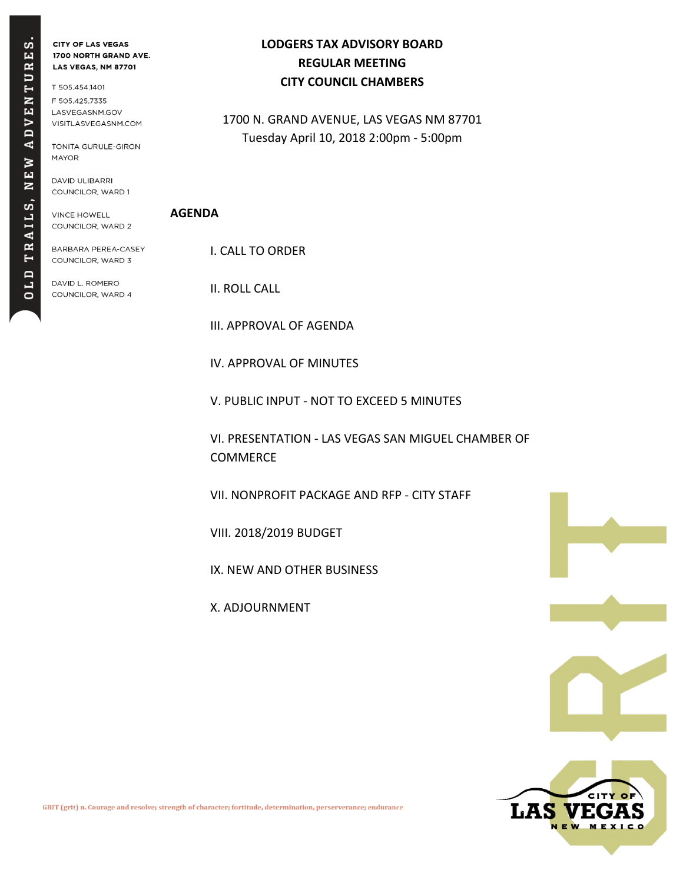RES.  $T U$ **NEN**  $AD$ **NEW** RAILS, Н OLD

**CITY OF LAS VEGAS** 1700 NORTH GRAND AVE. LAS VEGAS, NM 87701

T 505.454.1401 F 505.425.7335 LASVEGASNM.GOV VISITLASVEGASNM.COM

TONITA GURULE-GIRON **MAYOR** 

DAVID ULIBARRI COUNCILOR, WARD 1

**VINCE HOWELL** COUNCILOR, WARD 2 **LODGERS TAX ADVISORY BOARD REGULAR MEETING CITY COUNCIL CHAMBERS**

1700 N. GRAND AVENUE, LAS VEGAS NM 87701 Tuesday April 10, 2018 2:00pm - 5:00pm

## **AGENDA**

BARBARA PEREA-CASEY COUNCILOR, WARD 3

DAVID L. ROMERO COUNCILOR, WARD 4 I. CALL TO ORDER

II. ROLL CALL

III. APPROVAL OF AGENDA

IV. APPROVAL OF MINUTES

V. PUBLIC INPUT - NOT TO EXCEED 5 MINUTES

VI. PRESENTATION - LAS VEGAS SAN MIGUEL CHAMBER OF COMMERCE

VII. NONPROFIT PACKAGE AND RFP - CITY STAFF

VIII. 2018/2019 BUDGET

IX. NEW AND OTHER BUSINESS

X. ADJOURNMENT





GRIT (grit) n. Courage and resolve; strength of character; fortitude, determination, perserverance; endurance